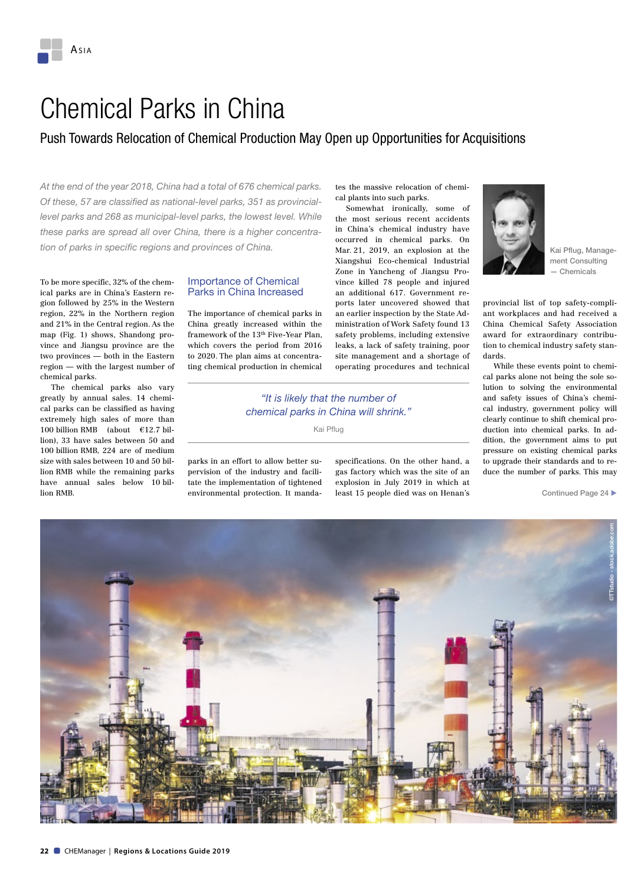### Chemical Parks in China

### Push Towards Relocation of Chemical Production May Open up Opportunities for Acquisitions

*At the end of the year 2018, China had a total of 676 chemical parks. Of these, 57 are classified as national-level parks, 351 as provinciallevel parks and 268 as municipal-level parks, the lowest level. While these parks are spread all over China, there is a higher concentration of parks in specific regions and provinces of China.*

To be more specific, 32% of the chemical parks are in China's Eastern region followed by 25% in the Western region, 22% in the Northern region and 21% in the Central region. As the map (Fig. 1) shows, Shandong province and Jiangsu province are the two provinces — both in the Eastern region — with the largest number of chemical parks.

The chemical parks also vary greatly by annual sales. 14 chemical parks can be classified as having extremely high sales of more than 100 billion RMB (about €12.7 billion), 33 have sales between 50 and 100 billion RMB, 224 are of medium size with sales between 10 and 50 billion RMB while the remaining parks have annual sales below 10 billion RMB.

#### Importance of Chemical Parks in China Increased

The importance of chemical parks in China greatly increased within the framework of the 13th Five-Year Plan, which covers the period from 2016 to 2020. The plan aims at concentrating chemical production in chemical

parks in an effort to allow better supervision of the industry and facilitate the implementation of tightened environmental protection. It mandates the massive relocation of chemical plants into such parks.

Somewhat ironically, some of the most serious recent accidents in China's chemical industry have occurred in chemical parks. On Mar. 21, 2019, an explosion at the Xiangshui Eco-chemical Industrial Zone in Yancheng of Jiangsu Province killed 78 people and injured an additional 617. Government reports later uncovered showed that an earlier inspection by the State Administration of Work Safety found 13 safety problems, including extensive leaks, a lack of safety training, poor site management and a shortage of operating procedures and technical

specifications. On the other hand, a gas factory which was the site of an explosion in July 2019 in which at least 15 people died was on Henan's



Kai Pflug, Management Consulting — Chemicals

provincial list of top safety-compliant workplaces and had received a China Chemical Safety Association award for extraordinary contribution to chemical industry safety standards.

While these events point to chemical parks alone not being the sole solution to solving the environmental and safety issues of China's chemical industry, government policy will clearly continue to shift chemical production into chemical parks. In addition, the government aims to put pressure on existing chemical parks to upgrade their standards and to reduce the number of parks. This may

Continued Page 24 ▶

©TTstudio - stock.adobe.com

*"It is likely that the number of chemical parks in China will shrink."* Kai Pflug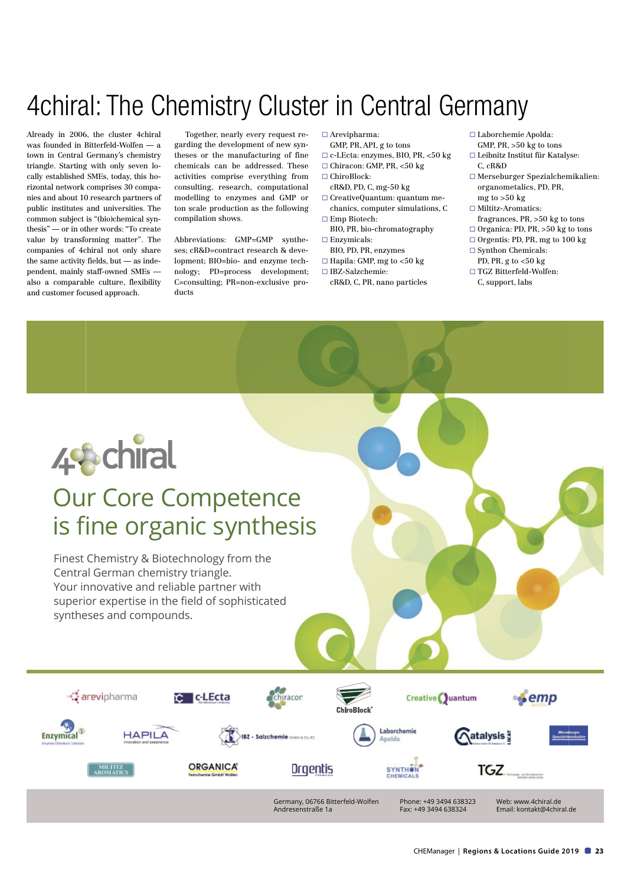# 4chiral: The Chemistry Cluster in Central Germany

Already in 2006, the cluster 4chiral was founded in Bitterfeld-Wolfen — a town in Central Germany's chemistry triangle. Starting with only seven locally established SMEs, today, this horizontal network comprises 30 companies and about 10 research partners of public institutes and universities. The common subject is "(bio)chemical synthesis" — or in other words: "To create value by transforming matter". The companies of 4chiral not only share the same activity fields, but — as independent, mainly staff-owned SMEs also a comparable culture, flexibility and customer focused approach.

Together, nearly every request regarding the development of new syntheses or the manufacturing of fine chemicals can be addressed. These activities comprise everything from consulting, research, computational modelling to enzymes and GMP or ton scale production as the following compilation shows.

Abbreviations: GMP=GMP syntheses; cR&D=contract research & development; BIO=bio- and enzyme technology; PD=process development; C=consulting; PR=non-exclusive products

- $\Box$  Arevipharma:
- GMP, PR, API, g to tons
- ¨ c-LEcta: enzymes, BIO, PR, <50 kg
- $\Box$  Chiracon: GMP, PR, <50 kg
- □ ChiroBlock:
- cR&D, PD, C, mg-50 kg ¨ CreativeQuantum: quantum me-
- chanics, computer simulations, C  $\square$  Emp Biotech:
- BIO, PR, bio-chromatography  $\square$  Enzymicals:
- BIO, PD, PR, enzymes
- $\Box$  Hapila: GMP, mg to <50 kg
- ¨ IBZ-Salzchemie:
	- cR&D, C, PR, nano particles
- ¨ Laborchemie Apolda: GMP, PR, >50 kg to tons
- ¨ Leibnitz Institut für Katalyse: C, cR&D
- ¨ Merseburger Spezialchemikalien: organometalics, PD, PR, mg to >50 kg
- $\hfill\Box$ <br> <br> Miltitz-Aromatics:
- fragrances, PR, >50 kg to tons
- $\Box$  Organica: PD, PR, >50 kg to tons
- $\Box$  Orgentis: PD, PR, mg to 100 kg
- $\square$  Synthon Chemicals:
- PD, PR, g to  $<$ 50 kg ¨ TGZ Bitterfeld-Wolfen:
- C, support, labs



## Our Core Competence is fine organic synthesis

Finest Chemistry & Biotechnology from the Central German chemistry triangle. Your innovative and reliable partner with superior expertise in the field of sophisticated syntheses and compounds.

∙Ç arevipharma **C** CLEcta chiracor Creative Quantum ∙Semp Laborchemic Enzymical<sup>®</sup> **HAPILA** atalysis<sup>3</sup> **IBZ - Salzchemie** Greek Co. K Apolda **ORGANICA®** Orgentis MILTITZ<br>20MATIC **SYNTHON** TGZ. Germany, 06766 Bitterfeld-Wolfen Phone: +49 3494 638323 Web: www.4chiral.de Andresenstraße 1a Fax: +49 3494 638324 Email: kontakt@4chiral.de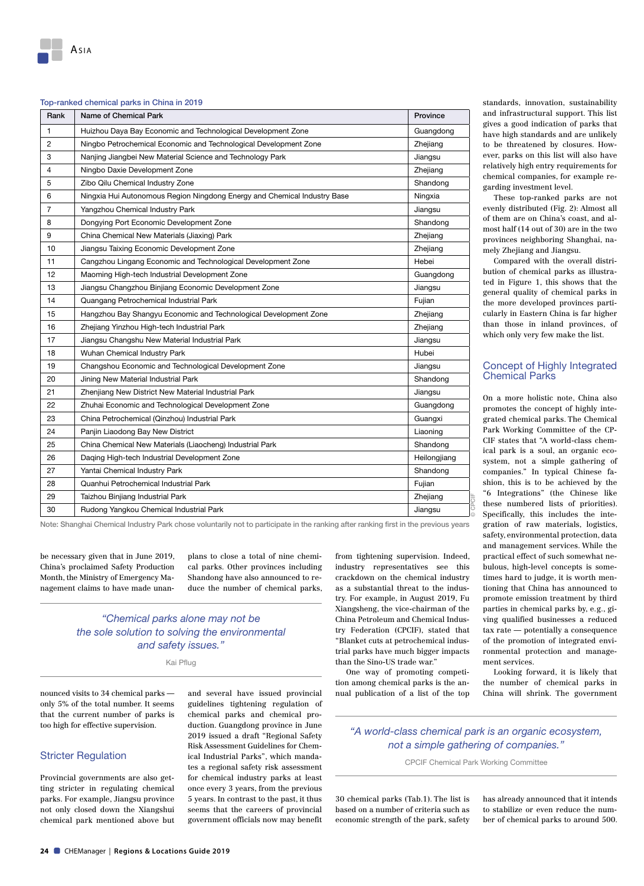#### Top-ranked chemical parks in China in 2019

| Rank           | Name of Chemical Park                                                    | Province     |
|----------------|--------------------------------------------------------------------------|--------------|
| 1              | Huizhou Daya Bay Economic and Technological Development Zone             | Guangdong    |
| 2              | Ningbo Petrochemical Economic and Technological Development Zone         | Zhejiang     |
| 3              | Nanjing Jiangbei New Material Science and Technology Park                | Jiangsu      |
| $\overline{4}$ | Ningbo Daxie Development Zone                                            | Zhejiang     |
| 5              | Zibo Qilu Chemical Industry Zone                                         | Shandong     |
| 6              | Ningxia Hui Autonomous Region Ningdong Energy and Chemical Industry Base | Ningxia      |
| $\overline{7}$ | Yangzhou Chemical Industry Park                                          | Jiangsu      |
| 8              | Dongying Port Economic Development Zone                                  | Shandong     |
| 9              | China Chemical New Materials (Jiaxing) Park                              | Zhejiang     |
| 10             | Jiangsu Taixing Economic Development Zone                                | Zhejiang     |
| 11             | Cangzhou Lingang Economic and Technological Development Zone             | Hebei        |
| 12             | Maoming High-tech Industrial Development Zone                            | Guangdong    |
| 13             | Jiangsu Changzhou Binjiang Economic Development Zone                     | Jiangsu      |
| 14             | Quangang Petrochemical Industrial Park                                   | Fujian       |
| 15             | Hangzhou Bay Shangyu Economic and Technological Development Zone         | Zhejiang     |
| 16             | Zhejiang Yinzhou High-tech Industrial Park                               | Zhejiang     |
| 17             | Jiangsu Changshu New Material Industrial Park                            | Jiangsu      |
| 18             | Wuhan Chemical Industry Park                                             | Hubei        |
| 19             | Changshou Economic and Technological Development Zone                    | Jiangsu      |
| 20             | Jining New Material Industrial Park                                      | Shandong     |
| 21             | Zhenjiang New District New Material Industrial Park                      | Jiangsu      |
| 22             | Zhuhai Economic and Technological Development Zone                       | Guangdong    |
| 23             | China Petrochemical (Qinzhou) Industrial Park                            | Guangxi      |
| 24             | Panjin Liaodong Bay New District                                         | Liaoning     |
| 25             | China Chemical New Materials (Liaocheng) Industrial Park                 | Shandong     |
| 26             | Daqing High-tech Industrial Development Zone                             | Heilongjiang |
| 27             | Yantai Chemical Industry Park                                            | Shandong     |
| 28             | Quanhui Petrochemical Industrial Park                                    | Fujian       |
| 29             | Taizhou Binjiang Industrial Park                                         | Zhejiang     |
| 30             | Rudong Yangkou Chemical Industrial Park                                  | Jiangsu      |

Note: Shanghai Chemical Industry Park chose voluntarily not to participate in the ranking after ranking first in the previous years

be necessary given that in June 2019, China's proclaimed Safety Production Month, the Ministry of Emergency Management claims to have made unan-

plans to close a total of nine chemical parks. Other provinces including Shandong have also announced to reduce the number of chemical parks,

#### *"Chemical parks alone may not be the sole solution to solving the environmental and safety issues."*

Kai Pflug

nounced visits to 34 chemical parks only 5% of the total number. It seems that the current number of parks is too high for effective supervision.

#### Stricter Regulation

Provincial governments are also getting stricter in regulating chemical parks. For example, Jiangsu province not only closed down the Xiangshui chemical park mentioned above but

and several have issued provincial guidelines tightening regulation of chemical parks and chemical production. Guangdong province in June 2019 issued a draft "Regional Safety Risk Assessment Guidelines for Chemical Industrial Parks", which mandates a regional safety risk assessment for chemical industry parks at least once every 3 years, from the previous 5 years. In contrast to the past, it thus seems that the careers of provincial government officials now may benefit

from tightening supervision. Indeed, industry representatives see this crackdown on the chemical industry as a substantial threat to the industry. For example, in August 2019, Fu Xiangsheng, the vice-chairman of the China Petroleum and Chemical Industry Federation (CPCIF), stated that "Blanket cuts at petrochemical industrial parks have much bigger impacts than the Sino-US trade war."

One way of promoting competition among chemical parks is the annual publication of a list of the top

standards, innovation, sustainability and infrastructural support. This list gives a good indication of parks that have high standards and are unlikely to be threatened by closures. However, parks on this list will also have relatively high entry requirements for chemical companies, for example regarding investment level.

These top-ranked parks are not evenly distributed (Fig. 2): Almost all of them are on China's coast, and almost half (14 out of 30) are in the two provinces neighboring Shanghai, namely Zhejiang and Jiangsu.

Compared with the overall distribution of chemical parks as illustrated in Figure 1, this shows that the general quality of chemical parks in the more developed provinces particularly in Eastern China is far higher than those in inland provinces, of which only very few make the list.

#### Concept of Highly Integrated Chemical Parks

On a more holistic note, China also promotes the concept of highly integrated chemical parks. The Chemical Park Working Committee of the CP-CIF states that "A world-class chemical park is a soul, an organic ecosystem, not a simple gathering of companies." In typical Chinese fashion, this is to be achieved by the "6 Integrations" (the Chinese like these numbered lists of priorities). Specifically, this includes the integration of raw materials, logistics, safety, environmental protection, data and management services. While the practical effect of such somewhat nebulous, high-level concepts is sometimes hard to judge, it is worth mentioning that China has announced to promote emission treatment by third parties in chemical parks by, e.g., giving qualified businesses a reduced tax rate — potentially a consequence of the promotion of integrated environmental protection and management services.

Looking forward, it is likely that the number of chemical parks in China will shrink. The government

*"A world-class chemical park is an organic ecosystem, not a simple gathering of companies."*

© CPCIF

CPCIF Chemical Park Working Committee

30 chemical parks (Tab.1). The list is based on a number of criteria such as economic strength of the park, safety

has already announced that it intends to stabilize or even reduce the number of chemical parks to around 500.